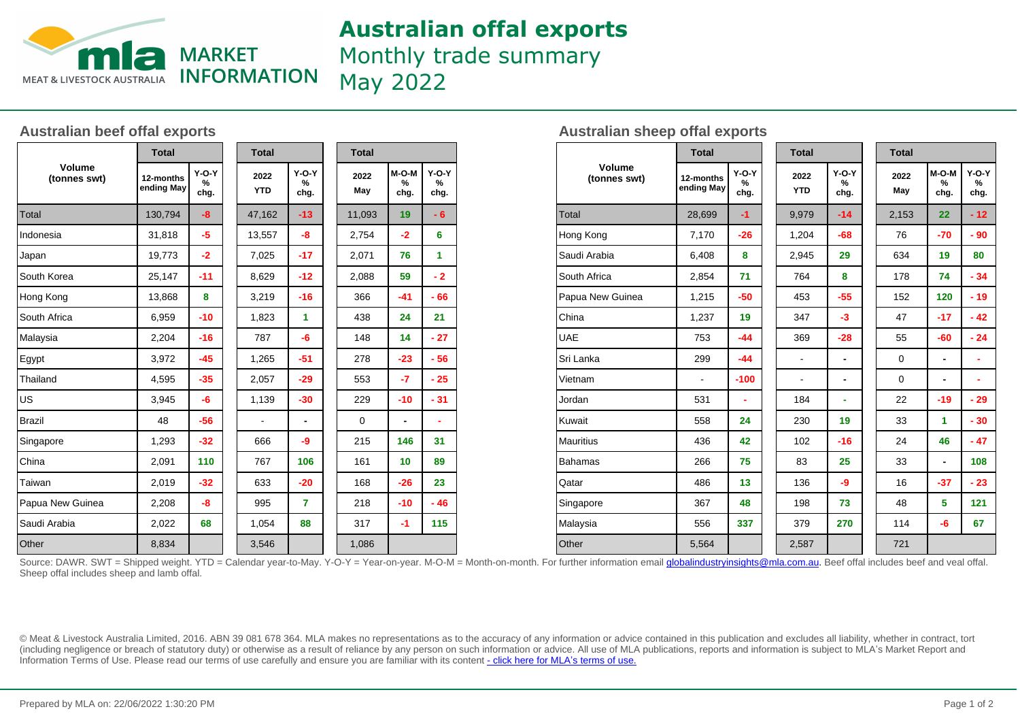

## **Australian offal exports**

Monthly trade summary

May 2022

## **Australian beef offal exports**

| <b>Volume</b><br>(tonnes swt) | <b>Total</b>            |                      | <b>Total</b>       |                      |  | <b>Total</b> |                          |                      |  |
|-------------------------------|-------------------------|----------------------|--------------------|----------------------|--|--------------|--------------------------|----------------------|--|
|                               | 12-months<br>ending May | $Y-O-Y$<br>%<br>chg. | 2022<br><b>YTD</b> | $Y-O-Y$<br>%<br>chg. |  | 2022<br>May  | M-O-M<br>%<br>chg.       | $Y-O-Y$<br>%<br>chg. |  |
| Total                         | 130,794                 | $-8$                 | 47,162             | $-13$                |  | 11,093       | 19                       | - 6                  |  |
| Indonesia                     | 31,818                  | $-5$                 | 13,557             | -8                   |  | 2,754        | $-2$                     | 6                    |  |
| Japan                         | 19,773                  | $-2$                 | 7,025              | $-17$                |  | 2,071        | 76                       | 1                    |  |
| South Korea                   | 25,147                  | $-11$                | 8,629              | $-12$                |  | 2,088        | 59                       | $-2$                 |  |
| Hong Kong                     | 13,868                  | 8                    | 3,219              | $-16$                |  | 366          | $-41$                    | $-66$                |  |
| South Africa                  | 6,959                   | $-10$                | 1,823              | 1                    |  | 438          | 24                       | 21                   |  |
| Malaysia                      | 2,204                   | $-16$                | 787                | -6                   |  | 148          | 14                       | $-27$                |  |
| Egypt                         | 3,972                   | $-45$                | 1,265              | $-51$                |  | 278          | $-23$                    | $-56$                |  |
| Thailand                      | 4,595                   | $-35$                | 2,057              | $-29$                |  | 553          | $-7$                     | $-25$                |  |
| ∣∪s                           | 3,945                   | -6                   | 1,139              | $-30$                |  | 229          | $-10$                    | $-31$                |  |
| <b>Brazil</b>                 | 48                      | $-56$                |                    |                      |  | $\mathbf 0$  | $\overline{\phantom{a}}$ | ٠                    |  |
| Singapore                     | 1,293                   | $-32$                | 666                | -9                   |  | 215          | 146                      | 31                   |  |
| China                         | 2,091                   | 110                  | 767                | 106                  |  | 161          | 10                       | 89                   |  |
| Taiwan                        | 2,019                   | $-32$                | 633                | $-20$                |  | 168          | $-26$                    | 23                   |  |
| Papua New Guinea              | 2,208                   | -8                   | 995                | 7                    |  | 218          | $-10$                    | $-46$                |  |
| Saudi Arabia                  | 2,022                   | 68                   | 1,054              | 88                   |  | 317          | -1                       | 115                  |  |
| Other                         | 8,834                   |                      | 3,546              |                      |  | 1,086        |                          |                      |  |

| <b>Australian sheep offal exports</b> |  |  |  |
|---------------------------------------|--|--|--|
|---------------------------------------|--|--|--|

| <b>Volume</b><br>(tonnes swt) |                          | <b>Total</b>            |  | <b>Total</b>             |                          |  | <b>Total</b> |                          |                      |  |  |
|-------------------------------|--------------------------|-------------------------|--|--------------------------|--------------------------|--|--------------|--------------------------|----------------------|--|--|
|                               | 12-months<br>ending May  | $Y-O-Y$<br>$\%$<br>chg. |  | 2022<br><b>YTD</b>       | $Y-O-Y$<br>%<br>chg.     |  | 2022<br>May  | M-O-M<br>%<br>chg.       | $Y-O-Y$<br>%<br>chg. |  |  |
| <b>Total</b>                  | 28,699                   | $-1$                    |  | 9,979                    | $-14$                    |  | 2,153        | 22                       | $-12$                |  |  |
| Hong Kong                     | 7,170                    | $-26$                   |  | 1,204                    | $-68$                    |  | 76           | $-70$                    | - 90                 |  |  |
| Saudi Arabia                  | 6,408                    | 8                       |  | 2,945                    | 29                       |  | 634          | 19                       | 80                   |  |  |
| South Africa                  | 2,854                    | 71                      |  | 764                      | 8                        |  | 178          | 74                       | $-34$                |  |  |
| Papua New Guinea              | 1,215                    | $-50$                   |  | 453                      | $-55$                    |  | 152          | 120                      | $-19$                |  |  |
| China                         | 1,237                    | 19                      |  | 347                      | $-3$                     |  | 47           | $-17$                    | $-42$                |  |  |
| <b>UAE</b>                    | 753                      | $-44$                   |  | 369                      | $-28$                    |  | 55           | $-60$                    | $-24$                |  |  |
| Sri Lanka                     | 299                      | $-44$                   |  | $\overline{\phantom{a}}$ |                          |  | $\mathbf 0$  | $\overline{\phantom{a}}$ | ۰                    |  |  |
| Vietnam                       | $\overline{\phantom{a}}$ | $-100$                  |  | $\overline{\phantom{a}}$ | $\overline{\phantom{0}}$ |  | 0            | $\overline{\phantom{a}}$ | ۰                    |  |  |
| Jordan                        | 531                      | ÷                       |  | 184                      | ۰                        |  | 22           | $-19$                    | - 29                 |  |  |
| Kuwait                        | 558                      | 24                      |  | 230                      | 19                       |  | 33           | 1                        | $-30$                |  |  |
| <b>Mauritius</b>              | 436                      | 42                      |  | 102                      | $-16$                    |  | 24           | 46                       | $-47$                |  |  |
| <b>Bahamas</b>                | 266                      | 75                      |  | 83                       | 25                       |  | 33           | $\overline{\phantom{a}}$ | 108                  |  |  |
| Qatar                         | 486                      | 13                      |  | 136                      | -9                       |  | 16           | $-37$                    | $-23$                |  |  |
| Singapore                     | 367                      | 48                      |  | 198                      | 73                       |  | 48           | 5                        | 121                  |  |  |
| Malaysia                      | 556                      | 337                     |  | 379                      | 270                      |  | 114          | -6                       | 67                   |  |  |
| Other                         | 5,564                    |                         |  | 2,587                    |                          |  | 721          |                          |                      |  |  |

Source: DAWR. SWT = Shipped weight. YTD = Calendar year-to-May. Y-O-Y = Year-on-year. M-O-M = Month-on-month. For further information email *globalindustryinsights@mla.com.au*. Beef offal includes beef and veal offal. Sheep offal includes sheep and lamb offal.

© Meat & Livestock Australia Limited, 2016. ABN 39 081 678 364. MLA makes no representations as to the accuracy of any information or advice contained in this publication and excludes all liability, whether in contract, tort (including negligence or breach of statutory duty) or otherwise as a result of reliance by any person on such information or advice. All use of MLA publications, reports and information is subject to MLA's Market Report an Information Terms of Use. Please read our terms of use carefully and ensure you are familiar with its content [- click here for MLA](http://www.mla.com.au/files/edae0364-a185-4a6f-9dff-a42700d1463a/MLA-Market-Report-and-Information-Terms-of-use-Dec-2014.pdf)'[s terms of use.](http://www.mla.com.au/files/edae0364-a185-4a6f-9dff-a42700d1463a/MLA-Market-Report-and-Information-Terms-of-use-Dec-2014.pdf)